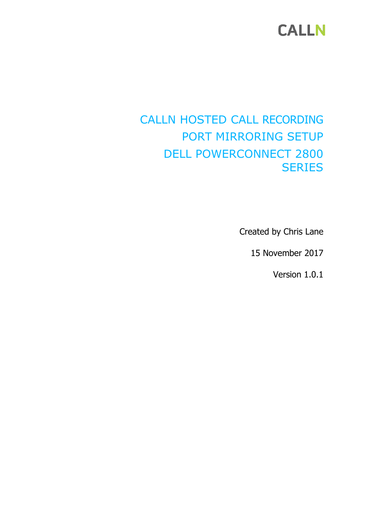# **CALLN**

### CALLN HOSTED CALL RECORDING PORT MIRRORING SETUP DELL POWERCONNECT 2800 **SERIES**

Created by Chris Lane

15 November 2017

Version 1.0.1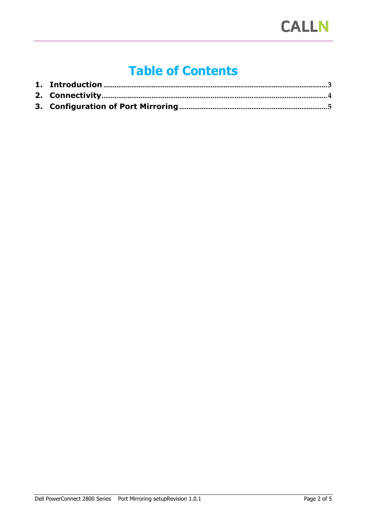# **Table of Contents**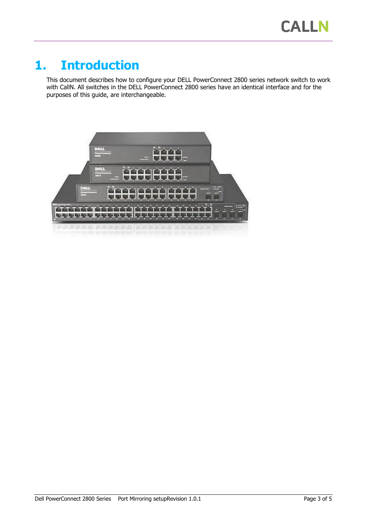#### <span id="page-2-0"></span>**1. Introduction**

This document describes how to configure your DELL PowerConnect 2800 series network switch to work with CallN. All switches in the DELL PowerConnect 2800 series have an identical interface and for the purposes of this guide, are interchangeable.

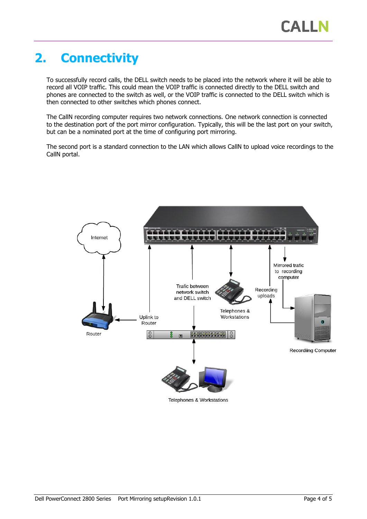# <span id="page-3-0"></span>**2. Connectivity**

To successfully record calls, the DELL switch needs to be placed into the network where it will be able to record all VOIP traffic. This could mean the VOIP traffic is connected directly to the DELL switch and phones are connected to the switch as well, or the VOIP traffic is connected to the DELL switch which is then connected to other switches which phones connect.

The CallN recording computer requires two network connections. One network connection is connected to the destination port of the port mirror configuration. Typically, this will be the last port on your switch, but can be a nominated port at the time of configuring port mirroring.

The second port is a standard connection to the LAN which allows CallN to upload voice recordings to the CallN portal.



Telephones & Workstations